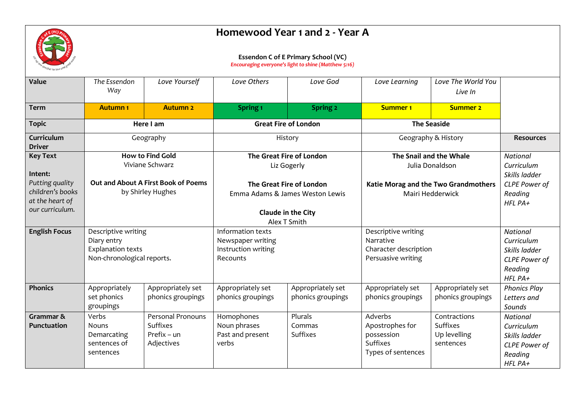

## **Homewood Year 1 and 2 - Year A**

## **Essendon C of E Primary School (VC)**

*Encouraging everyone's light to shine (Matthew 5:16)*

| Value                       | The Essendon<br>Way        | Love Yourself                       | Love Others                                                 | Love God                    | Love Learning                                            | Love The World You<br>Live In |                                |
|-----------------------------|----------------------------|-------------------------------------|-------------------------------------------------------------|-----------------------------|----------------------------------------------------------|-------------------------------|--------------------------------|
| <b>Term</b>                 | <b>Autumn1</b>             | <b>Autumn 2</b>                     | Spring <sub>1</sub>                                         | <b>Spring 2</b>             | <b>Summer 1</b>                                          | <b>Summer 2</b>               |                                |
| <b>Topic</b>                |                            | Here I am                           |                                                             | <b>Great Fire of London</b> | <b>The Seaside</b>                                       |                               |                                |
| Curriculum<br><b>Driver</b> | Geography                  |                                     | History                                                     |                             | Geography & History                                      |                               | <b>Resources</b>               |
| <b>Key Text</b>             |                            | <b>How to Find Gold</b>             |                                                             | The Great Fire of London    |                                                          | The Snail and the Whale       | <b>National</b>                |
|                             |                            | Viviane Schwarz                     |                                                             | Liz Gogerly                 |                                                          | Julia Donaldson               | Curriculum                     |
| Intent:<br>Putting quality  |                            | Out and About A First Book of Poems |                                                             |                             |                                                          |                               | Skills ladder                  |
| children's books            |                            | by Shirley Hughes                   | The Great Fire of London<br>Emma Adams & James Weston Lewis |                             | Katie Morag and the Two Grandmothers<br>Mairi Hedderwick |                               | CLPE Power of<br>Reading       |
| at the heart of             |                            |                                     |                                                             |                             |                                                          |                               | HFL PA+                        |
| our curriculum.             |                            |                                     | <b>Claude in the City</b>                                   |                             |                                                          |                               |                                |
|                             |                            |                                     | Alex T Smith                                                |                             |                                                          |                               |                                |
| <b>English Focus</b>        | Descriptive writing        |                                     | Information texts                                           |                             | Descriptive writing                                      |                               | <b>National</b>                |
|                             | Diary entry                |                                     | Newspaper writing                                           |                             | Narrative                                                |                               | Curriculum                     |
|                             | <b>Explanation texts</b>   |                                     | Instruction writing                                         |                             | Character description                                    |                               | Skills ladder                  |
|                             | Non-chronological reports. |                                     | Recounts                                                    |                             | Persuasive writing                                       |                               | CLPE Power of                  |
|                             |                            |                                     |                                                             |                             |                                                          | Reading                       |                                |
| <b>Phonics</b>              | Appropriately              | Appropriately set                   | Appropriately set                                           | Appropriately set           | Appropriately set                                        | Appropriately set             | HFL PA+<br><b>Phonics Play</b> |
|                             | set phonics                | phonics groupings                   | phonics groupings                                           | phonics groupings           | phonics groupings                                        | phonics groupings             | Letters and                    |
|                             | groupings                  |                                     |                                                             |                             |                                                          |                               | Sounds                         |
| Grammar &                   | Verbs                      | Personal Pronouns                   | Homophones                                                  | Plurals                     | Adverbs                                                  | Contractions                  | <b>National</b>                |
| <b>Punctuation</b>          | Nouns                      | <b>Suffixes</b>                     | Noun phrases                                                | Commas                      | Apostrophes for                                          | Suffixes                      | Curriculum                     |
|                             | Demarcating                | $Prefix - un$                       | Past and present                                            | <b>Suffixes</b>             | possession                                               | Up levelling                  | Skills ladder                  |
|                             | sentences of               | Adjectives                          | verbs                                                       |                             | Suffixes                                                 | sentences                     | <b>CLPE Power of</b>           |
|                             | sentences                  |                                     |                                                             |                             | Types of sentences                                       |                               | Reading                        |
|                             |                            |                                     |                                                             |                             |                                                          |                               | HFL PA+                        |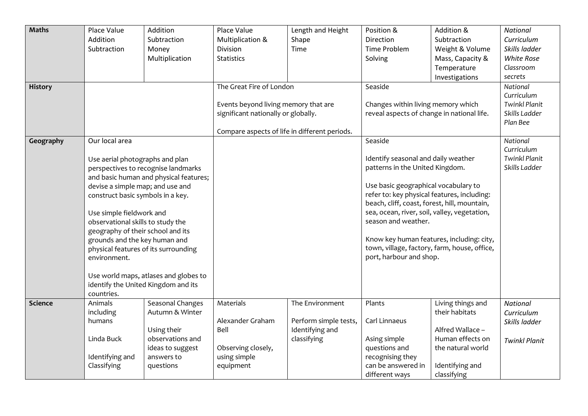| <b>Maths</b>   | Place Value<br>Addition<br>Subtraction                                                                                                                                                                                                                                                                                                                                                                                                                                                                   | Addition<br>Subtraction<br>Money<br>Multiplication                                                                    | Place Value<br>Multiplication &<br>Division<br><b>Statistics</b>                                                                                         | Length and Height<br>Shape<br>Time                                         | Position &<br>Direction<br><b>Time Problem</b><br>Solving                                                                                                                                                                                                                                                                                                                                                               | Addition &<br>Subtraction<br>Weight & Volume<br>Mass, Capacity &<br>Temperature                                                    | National<br>Curriculum<br>Skills ladder<br>White Rose<br>Classroom                     |
|----------------|----------------------------------------------------------------------------------------------------------------------------------------------------------------------------------------------------------------------------------------------------------------------------------------------------------------------------------------------------------------------------------------------------------------------------------------------------------------------------------------------------------|-----------------------------------------------------------------------------------------------------------------------|----------------------------------------------------------------------------------------------------------------------------------------------------------|----------------------------------------------------------------------------|-------------------------------------------------------------------------------------------------------------------------------------------------------------------------------------------------------------------------------------------------------------------------------------------------------------------------------------------------------------------------------------------------------------------------|------------------------------------------------------------------------------------------------------------------------------------|----------------------------------------------------------------------------------------|
| <b>History</b> |                                                                                                                                                                                                                                                                                                                                                                                                                                                                                                          |                                                                                                                       | The Great Fire of London<br>Events beyond living memory that are<br>significant nationally or globally.<br>Compare aspects of life in different periods. |                                                                            | Investigations<br>Seaside<br>Changes within living memory which<br>reveal aspects of change in national life.                                                                                                                                                                                                                                                                                                           |                                                                                                                                    | secrets<br>National<br>Curriculum<br><b>Twinkl Planit</b><br>Skills Ladder<br>Plan Bee |
| Geography      | Our local area<br>Use aerial photographs and plan<br>perspectives to recognise landmarks<br>and basic human and physical features;<br>devise a simple map; and use and<br>construct basic symbols in a key.<br>Use simple fieldwork and<br>observational skills to study the<br>geography of their school and its<br>grounds and the key human and<br>physical features of its surrounding<br>environment.<br>Use world maps, atlases and globes to<br>identify the United Kingdom and its<br>countries. |                                                                                                                       |                                                                                                                                                          |                                                                            | Seaside<br>Identify seasonal and daily weather<br>patterns in the United Kingdom.<br>Use basic geographical vocabulary to<br>refer to: key physical features, including:<br>beach, cliff, coast, forest, hill, mountain,<br>sea, ocean, river, soil, valley, vegetation,<br>season and weather.<br>Know key human features, including: city,<br>town, village, factory, farm, house, office,<br>port, harbour and shop. |                                                                                                                                    | National<br>Curriculum<br><b>Twinkl Planit</b><br>Skills Ladder                        |
| <b>Science</b> | Animals<br>including<br>humans<br>Linda Buck<br>Identifying and<br>Classifying                                                                                                                                                                                                                                                                                                                                                                                                                           | Seasonal Changes<br>Autumn & Winter<br>Using their<br>observations and<br>ideas to suggest<br>answers to<br>questions | Materials<br>Alexander Graham<br>Bell<br>Observing closely,<br>using simple<br>equipment                                                                 | The Environment<br>Perform simple tests,<br>Identifying and<br>classifying | Plants<br>Carl Linnaeus<br>Asing simple<br>questions and<br>recognising they<br>can be answered in<br>different ways                                                                                                                                                                                                                                                                                                    | Living things and<br>their habitats<br>Alfred Wallace -<br>Human effects on<br>the natural world<br>Identifying and<br>classifying | National<br>Curriculum<br>Skills ladder<br><b>Twinkl Planit</b>                        |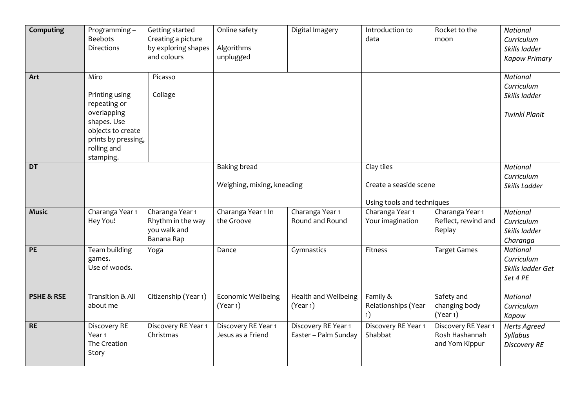| Computing             | Programming-<br><b>Beebots</b><br><b>Directions</b>                                                                                          | Getting started<br>Creating a picture<br>by exploring shapes<br>and colours | Online safety<br>Algorithms<br>unplugged          | Digital Imagery                             | Introduction to<br>data                                            | Rocket to the<br>moon                                   | National<br>Curriculum<br>Skills ladder<br><b>Kapow Primary</b>        |
|-----------------------|----------------------------------------------------------------------------------------------------------------------------------------------|-----------------------------------------------------------------------------|---------------------------------------------------|---------------------------------------------|--------------------------------------------------------------------|---------------------------------------------------------|------------------------------------------------------------------------|
| Art                   | Miro<br>Printing using<br>repeating or<br>overlapping<br>shapes. Use<br>objects to create<br>prints by pressing,<br>rolling and<br>stamping. | Picasso<br>Collage                                                          |                                                   |                                             |                                                                    |                                                         | <b>National</b><br>Curriculum<br>Skills ladder<br><b>Twinkl Planit</b> |
| <b>DT</b>             |                                                                                                                                              |                                                                             | <b>Baking bread</b><br>Weighing, mixing, kneading |                                             | Clay tiles<br>Create a seaside scene<br>Using tools and techniques |                                                         | <b>National</b><br>Curriculum<br>Skills Ladder                         |
| <b>Music</b>          | Charanga Year 1<br>Hey You!                                                                                                                  | Charanga Year 1<br>Rhythm in the way<br>you walk and<br>Banana Rap          | Charanga Year 1 In<br>the Groove                  | Charanga Year 1<br>Round and Round          | Charanga Year 1<br>Your imagination                                | Charanga Year 1<br>Reflect, rewind and<br>Replay        | <b>National</b><br>Curriculum<br>Skills ladder<br>Charanga             |
| PE                    | Team building<br>games.<br>Use of woods.                                                                                                     | Yoga                                                                        | Dance                                             | Gymnastics                                  | Fitness                                                            | <b>Target Games</b>                                     | <b>National</b><br>Curriculum<br>Skills ladder Get<br>Set 4 PE         |
| <b>PSHE &amp; RSE</b> | Transition & All<br>about me                                                                                                                 | Citizenship (Year 1)                                                        | Economic Wellbeing<br>(Year 1)                    | Health and Wellbeing<br>(Year 1)            | Family &<br>Relationships (Year<br>1)                              | Safety and<br>changing body<br>(Year 1)                 | National<br>Curriculum<br>Kapow                                        |
| <b>RE</b>             | Discovery RE<br>Year <sub>1</sub><br>The Creation<br>Story                                                                                   | Discovery RE Year 1<br>Christmas                                            | Discovery RE Year 1<br>Jesus as a Friend          | Discovery RE Year 1<br>Easter - Palm Sunday | Discovery RE Year 1<br>Shabbat                                     | Discovery RE Year 1<br>Rosh Hashannah<br>and Yom Kippur | <b>Herts Agreed</b><br>Syllabus<br><b>Discovery RE</b>                 |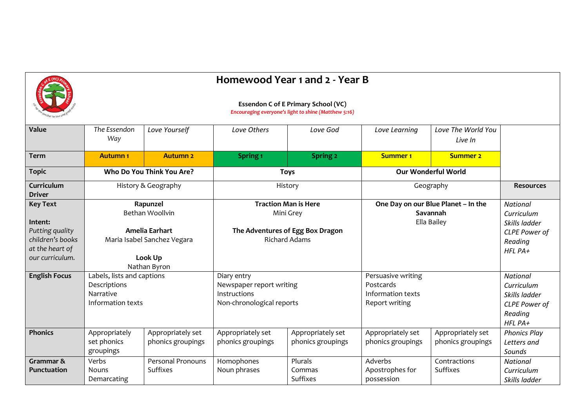

## **Homewood Year 1 and 2 - Year B**

|                                                                                                         |                                                                                                         |                                        |                                                                                                      | <b>Essendon C of E Primary School (VC)</b><br>Encouraging everyone's light to shine (Matthew 5:16) |                                                                        |                                        |                                                                                              |
|---------------------------------------------------------------------------------------------------------|---------------------------------------------------------------------------------------------------------|----------------------------------------|------------------------------------------------------------------------------------------------------|----------------------------------------------------------------------------------------------------|------------------------------------------------------------------------|----------------------------------------|----------------------------------------------------------------------------------------------|
| Value                                                                                                   | The Essendon<br>Way                                                                                     | Love Yourself                          | Love Others                                                                                          | Love God                                                                                           | Love Learning                                                          | Love The World You<br>Live In          |                                                                                              |
| <b>Term</b>                                                                                             | <b>Autumn1</b>                                                                                          | <b>Autumn 2</b>                        | Spring <sub>1</sub>                                                                                  | Spring 2                                                                                           | <b>Summer 1</b>                                                        | <b>Summer 2</b>                        |                                                                                              |
| <b>Topic</b>                                                                                            |                                                                                                         | Who Do You Think You Are?              |                                                                                                      | <b>Toys</b>                                                                                        |                                                                        | <b>Our Wonderful World</b>             |                                                                                              |
| Curriculum<br>Driver                                                                                    |                                                                                                         | History & Geography                    |                                                                                                      | History                                                                                            |                                                                        | Geography                              |                                                                                              |
| <b>Key Text</b><br>Intent:<br>Putting quality<br>children's books<br>at the heart of<br>our curriculum. | Rapunzel<br>Bethan Woollvin<br>Amelia Earhart<br>Maria Isabel Sanchez Vegara<br>Look Up<br>Nathan Byron |                                        | <b>Traction Man is Here</b><br>Mini Grey<br>The Adventures of Egg Box Dragon<br><b>Richard Adams</b> |                                                                                                    | One Day on our Blue Planet - In the<br>Savannah<br>Ella Bailey         |                                        | <b>National</b><br>Curriculum<br>Skills ladder<br>CLPE Power of<br>Reading<br>$HFL$ $PA+$    |
| <b>English Focus</b>                                                                                    | Labels, lists and captions<br>Descriptions<br>Narrative<br>Information texts                            |                                        | Diary entry<br>Newspaper report writing<br>Instructions<br>Non-chronological reports                 |                                                                                                    | Persuasive writing<br>Postcards<br>Information texts<br>Report writing |                                        | <b>National</b><br>Curriculum<br>Skills ladder<br><b>CLPE Power of</b><br>Reading<br>HFL PA+ |
| <b>Phonics</b>                                                                                          | Appropriately<br>set phonics<br>groupings                                                               | Appropriately set<br>phonics groupings | Appropriately set<br>phonics groupings                                                               | Appropriately set<br>phonics groupings                                                             | Appropriately set<br>phonics groupings                                 | Appropriately set<br>phonics groupings | <b>Phonics Play</b><br>Letters and<br>Sounds                                                 |
| Grammar &<br><b>Punctuation</b>                                                                         | Verbs<br><b>Nouns</b><br>Demarcating                                                                    | <b>Personal Pronouns</b><br>Suffixes   | Homophones<br>Noun phrases                                                                           | Plurals<br>Commas<br>Suffixes                                                                      | Adverbs<br>Apostrophes for<br>possession                               | Contractions<br><b>Suffixes</b>        | <b>National</b><br>Curriculum<br>Skills ladder                                               |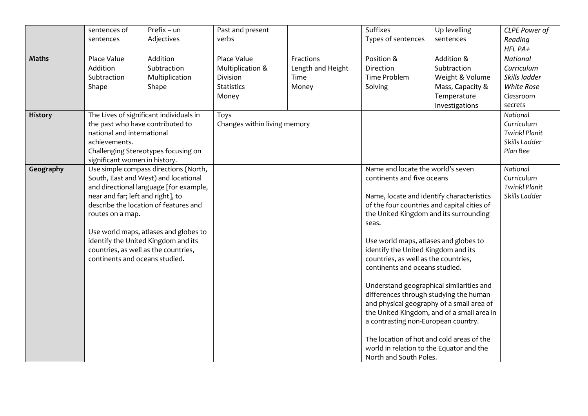|                | sentences of<br>sentences                                                                                                                                                                          | Prefix - un<br>Adjectives                                                                                                                                                                                                                                                                | Past and present<br>verbs                                                 |                                                 | Suffixes<br>Types of sentences                                                                                                                                                                                                                                                                                                                                                                                                                                                                                                                                                                                           | Up levelling<br>sentences                                                                         | CLPE Power of<br>Reading                                                      |
|----------------|----------------------------------------------------------------------------------------------------------------------------------------------------------------------------------------------------|------------------------------------------------------------------------------------------------------------------------------------------------------------------------------------------------------------------------------------------------------------------------------------------|---------------------------------------------------------------------------|-------------------------------------------------|--------------------------------------------------------------------------------------------------------------------------------------------------------------------------------------------------------------------------------------------------------------------------------------------------------------------------------------------------------------------------------------------------------------------------------------------------------------------------------------------------------------------------------------------------------------------------------------------------------------------------|---------------------------------------------------------------------------------------------------|-------------------------------------------------------------------------------|
|                |                                                                                                                                                                                                    |                                                                                                                                                                                                                                                                                          |                                                                           |                                                 |                                                                                                                                                                                                                                                                                                                                                                                                                                                                                                                                                                                                                          |                                                                                                   | HFL PA+                                                                       |
| <b>Maths</b>   | Place Value<br>Addition<br>Subtraction<br>Shape                                                                                                                                                    | Addition<br>Subtraction<br>Multiplication<br>Shape                                                                                                                                                                                                                                       | Place Value<br>Multiplication &<br>Division<br><b>Statistics</b><br>Money | Fractions<br>Length and Height<br>Time<br>Money | Position &<br>Direction<br><b>Time Problem</b><br>Solving                                                                                                                                                                                                                                                                                                                                                                                                                                                                                                                                                                | Addition &<br>Subtraction<br>Weight & Volume<br>Mass, Capacity &<br>Temperature<br>Investigations | National<br>Curriculum<br>Skills ladder<br>White Rose<br>Classroom<br>secrets |
| <b>History</b> | The Lives of significant individuals in<br>the past who have contributed to<br>national and international<br>achievements.<br>Challenging Stereotypes focusing on<br>significant women in history. |                                                                                                                                                                                                                                                                                          | Toys<br>Changes within living memory                                      |                                                 |                                                                                                                                                                                                                                                                                                                                                                                                                                                                                                                                                                                                                          |                                                                                                   | National<br>Curriculum<br><b>Twinkl Planit</b><br>Skills Ladder<br>Plan Bee   |
| Geography      | near and far; left and right], to<br>routes on a map.<br>continents and oceans studied.                                                                                                            | Use simple compass directions (North,<br>South, East and West) and locational<br>and directional language [for example,<br>describe the location of features and<br>Use world maps, atlases and globes to<br>identify the United Kingdom and its<br>countries, as well as the countries, |                                                                           |                                                 | Name and locate the world's seven<br>continents and five oceans<br>Name, locate and identify characteristics<br>of the four countries and capital cities of<br>the United Kingdom and its surrounding<br>seas.<br>Use world maps, atlases and globes to<br>identify the United Kingdom and its<br>countries, as well as the countries,<br>continents and oceans studied.<br>Understand geographical similarities and<br>differences through studying the human<br>a contrasting non-European country.<br>The location of hot and cold areas of the<br>world in relation to the Equator and the<br>North and South Poles. | and physical geography of a small area of<br>the United Kingdom, and of a small area in           | National<br>Curriculum<br><b>Twinkl Planit</b><br>Skills Ladder               |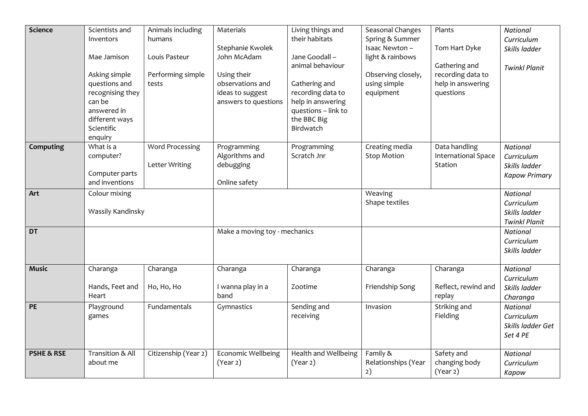| Science               | Scientists and<br>Inventors<br>Mae Jamison<br>Asking simple<br>questions and<br>recognising they<br>can be<br>answered in<br>different ways<br>Scientific<br>enquiry | Animals including<br>humans<br>Louis Pasteur<br>Performing simple<br>tests | Materials<br>Stephanie Kwolek<br>John McAdam<br>Using their<br>observations and<br>ideas to suggest<br>answers to questions | Living things and<br>their habitats<br>Jane Goodall -<br>animal behaviour<br>Gathering and<br>recording data to<br>help in answering<br>questions - link to<br>the BBC Big<br>Birdwatch | Seasonal Changes<br>Spring & Summer<br>Isaac Newton-<br>light & rainbows<br>Observing closely,<br>using simple<br>equipment | Plants<br>Tom Hart Dyke<br>Gathering and<br>recording data to<br>help in answering<br>questions | <b>National</b><br>Curriculum<br>Skills ladder<br><b>Twinkl Planit</b> |
|-----------------------|----------------------------------------------------------------------------------------------------------------------------------------------------------------------|----------------------------------------------------------------------------|-----------------------------------------------------------------------------------------------------------------------------|-----------------------------------------------------------------------------------------------------------------------------------------------------------------------------------------|-----------------------------------------------------------------------------------------------------------------------------|-------------------------------------------------------------------------------------------------|------------------------------------------------------------------------|
| Computing             | What is a<br>computer?<br>Computer parts<br>and inventions                                                                                                           | Word Processing<br>Letter Writing                                          | Programming<br>Algorithms and<br>debugging<br>Online safety                                                                 | Programming<br>Scratch Jnr                                                                                                                                                              | Creating media<br><b>Stop Motion</b>                                                                                        | Data handling<br><b>International Space</b><br>Station                                          | <b>National</b><br>Curriculum<br>Skills ladder<br><b>Kapow Primary</b> |
| Art                   | Colour mixing<br>Wassily Kandinsky                                                                                                                                   |                                                                            |                                                                                                                             |                                                                                                                                                                                         | Weaving<br>Shape textiles                                                                                                   |                                                                                                 | <b>National</b><br>Curriculum<br>Skills ladder<br><b>Twinkl Planit</b> |
| <b>DT</b>             |                                                                                                                                                                      |                                                                            | Make a moving toy - mechanics                                                                                               |                                                                                                                                                                                         |                                                                                                                             |                                                                                                 | <b>National</b><br>Curriculum<br>Skills ladder                         |
| <b>Music</b>          | Charanga<br>Hands, Feet and<br>Heart                                                                                                                                 | Charanga<br>Ho, Ho, Ho                                                     | Charanga<br>I wanna play in a<br>band                                                                                       | Charanga<br>Zootime                                                                                                                                                                     | Charanga<br>Friendship Song                                                                                                 | Charanga<br>Reflect, rewind and<br>replay                                                       | <b>National</b><br>Curriculum<br>Skills ladder<br>Charanga             |
| <b>PE</b>             | Playground<br>games                                                                                                                                                  | Fundamentals                                                               | Gymnastics                                                                                                                  | Sending and<br>receiving                                                                                                                                                                | Invasion                                                                                                                    | Striking and<br>Fielding                                                                        | <b>National</b><br>Curriculum<br>Skills ladder Get<br>Set 4 PE         |
| <b>PSHE &amp; RSE</b> | Transition & All<br>about me                                                                                                                                         | Citizenship (Year 2)                                                       | <b>Economic Wellbeing</b><br>(Year 2)                                                                                       | Health and Wellbeing<br>(Year 2)                                                                                                                                                        | Family &<br>Relationships (Year<br>2)                                                                                       | Safety and<br>changing body<br>(Year 2)                                                         | <b>National</b><br>Curriculum<br>Kapow                                 |